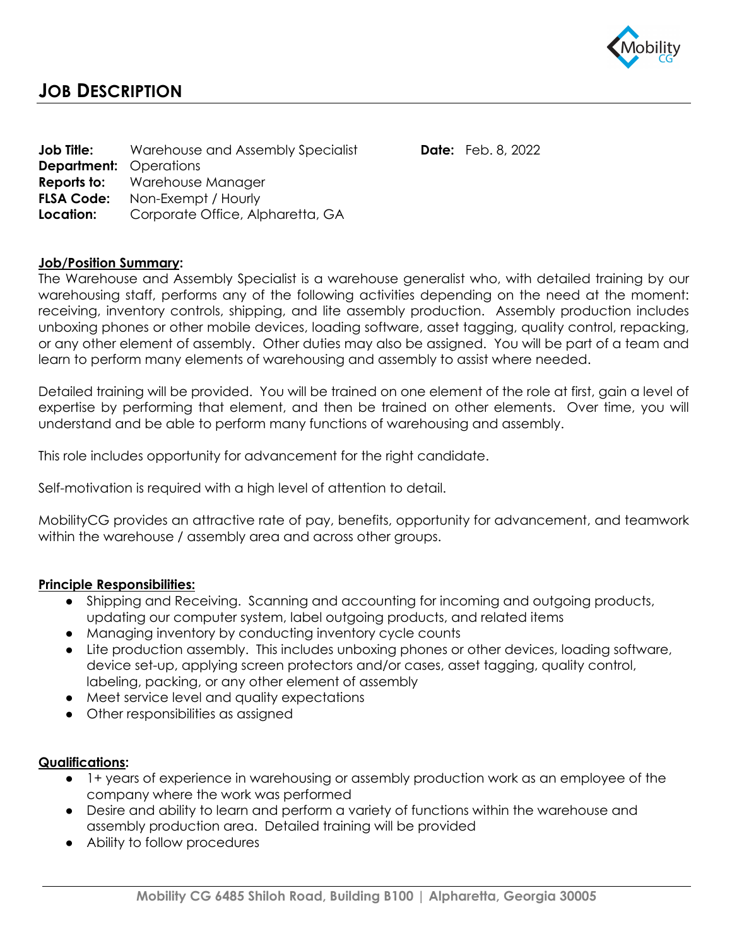

| Job Title:<br><b>Department:</b> Operations | Warehouse and Assembly Specialist                                                               | <b>Date:</b> Feb. 8, 2022 |
|---------------------------------------------|-------------------------------------------------------------------------------------------------|---------------------------|
| <b>FLSA Code:</b><br>Location:              | <b>Reports to:</b> Warehouse Manager<br>Non-Exempt / Hourly<br>Corporate Office, Alpharetta, GA |                           |

## **Job/Position Summary:**

The Warehouse and Assembly Specialist is a warehouse generalist who, with detailed training by our warehousing staff, performs any of the following activities depending on the need at the moment: receiving, inventory controls, shipping, and lite assembly production. Assembly production includes unboxing phones or other mobile devices, loading software, asset tagging, quality control, repacking, or any other element of assembly. Other duties may also be assigned. You will be part of a team and learn to perform many elements of warehousing and assembly to assist where needed.

Detailed training will be provided. You will be trained on one element of the role at first, gain a level of expertise by performing that element, and then be trained on other elements. Over time, you will understand and be able to perform many functions of warehousing and assembly.

This role includes opportunity for advancement for the right candidate.

Self-motivation is required with a high level of attention to detail.

MobilityCG provides an attractive rate of pay, benefits, opportunity for advancement, and teamwork within the warehouse / assembly area and across other groups.

## **Principle Responsibilities:**

- Shipping and Receiving. Scanning and accounting for incoming and outgoing products, updating our computer system, label outgoing products, and related items
- Managing inventory by conducting inventory cycle counts
- Lite production assembly. This includes unboxing phones or other devices, loading software, device set-up, applying screen protectors and/or cases, asset tagging, quality control, labeling, packing, or any other element of assembly
- Meet service level and quality expectations
- Other responsibilities as assigned

## **Qualifications:**

- 1+ years of experience in warehousing or assembly production work as an employee of the company where the work was performed
- Desire and ability to learn and perform a variety of functions within the warehouse and assembly production area. Detailed training will be provided
- Ability to follow procedures